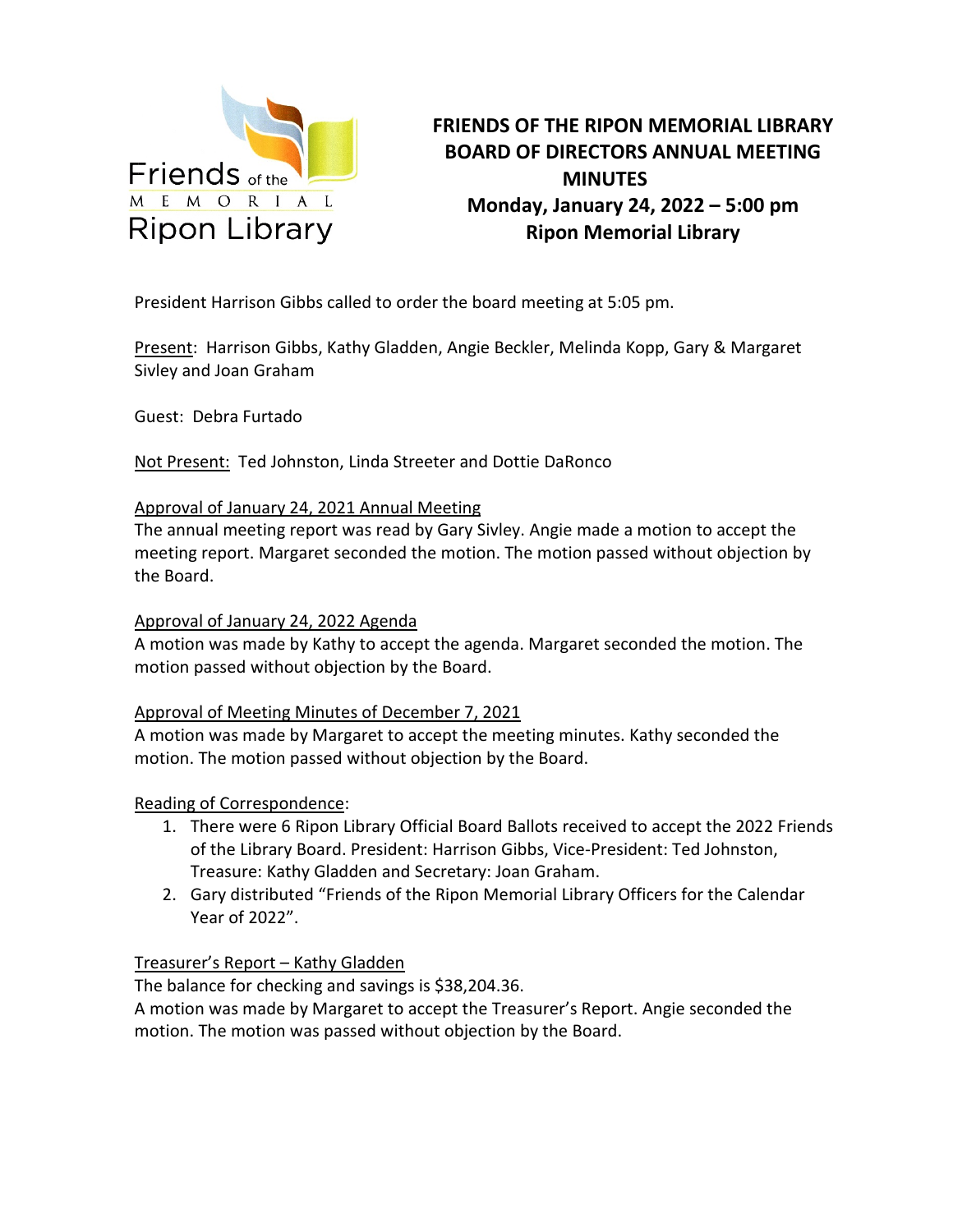

### **FRIENDS OF THE RIPON MEMORIAL LIBRARY BOARD OF DIRECTORS ANNUAL MEETING MINUTES Monday, January 24, 2022 – 5:00 pm Ripon Memorial Library**

President Harrison Gibbs called to order the board meeting at 5:05 pm.

Present: Harrison Gibbs, Kathy Gladden, Angie Beckler, Melinda Kopp, Gary & Margaret Sivley and Joan Graham

Guest: Debra Furtado

Not Present: Ted Johnston, Linda Streeter and Dottie DaRonco

#### Approval of January 24, 2021 Annual Meeting

The annual meeting report was read by Gary Sivley. Angie made a motion to accept the meeting report. Margaret seconded the motion. The motion passed without objection by the Board.

#### Approval of January 24, 2022 Agenda

A motion was made by Kathy to accept the agenda. Margaret seconded the motion. The motion passed without objection by the Board.

#### Approval of Meeting Minutes of December 7, 2021

A motion was made by Margaret to accept the meeting minutes. Kathy seconded the motion. The motion passed without objection by the Board.

#### Reading of Correspondence:

- 1. There were 6 Ripon Library Official Board Ballots received to accept the 2022 Friends of the Library Board. President: Harrison Gibbs, Vice-President: Ted Johnston, Treasure: Kathy Gladden and Secretary: Joan Graham.
- 2. Gary distributed "Friends of the Ripon Memorial Library Officers for the Calendar Year of 2022".

#### Treasurer's Report – Kathy Gladden

The balance for checking and savings is \$38,204.36.

A motion was made by Margaret to accept the Treasurer's Report. Angie seconded the motion. The motion was passed without objection by the Board.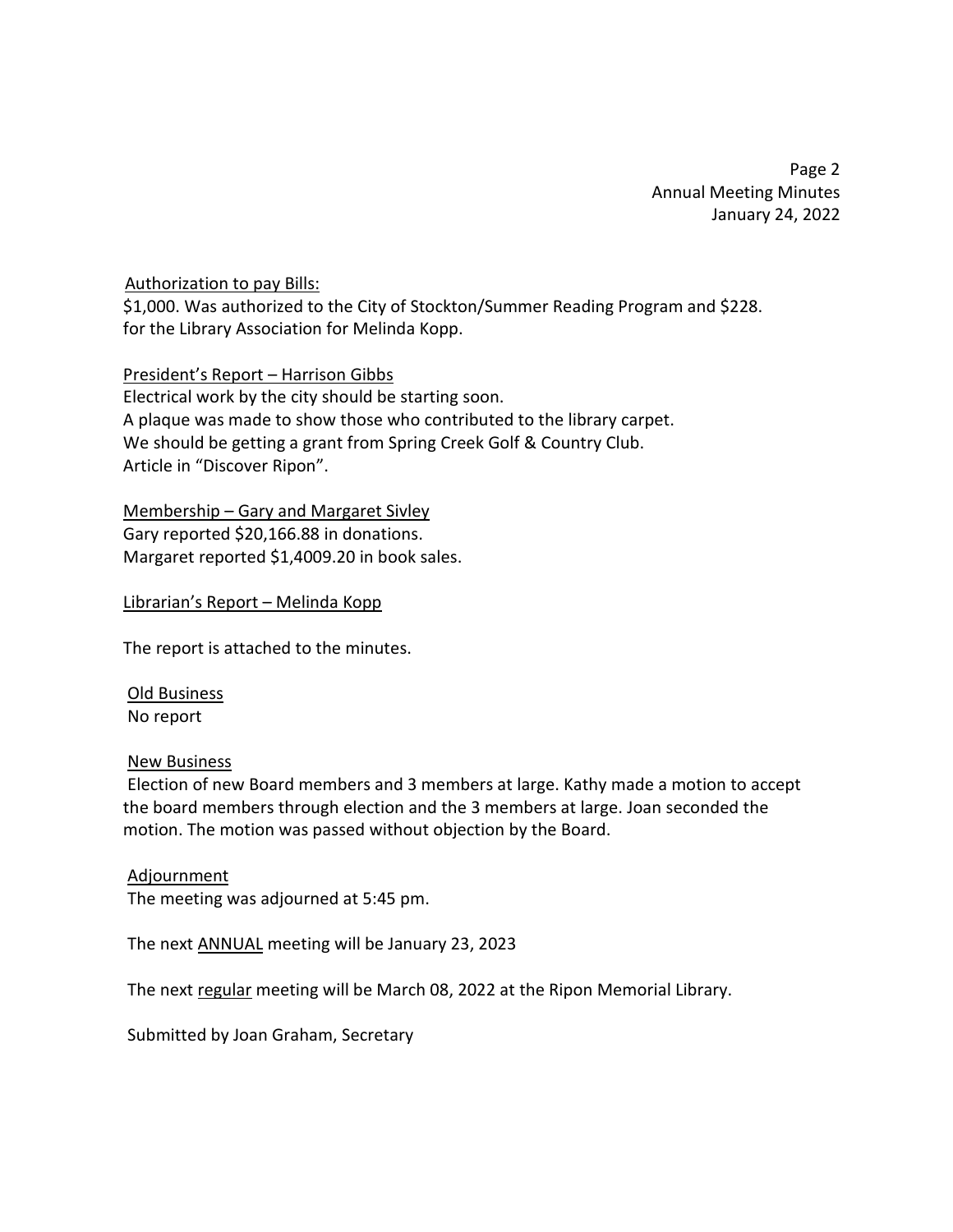Page 2 Annual Meeting Minutes January 24, 2022

#### Authorization to pay Bills:

\$1,000. Was authorized to the City of Stockton/Summer Reading Program and \$228. for the Library Association for Melinda Kopp.

#### President's Report – Harrison Gibbs

Electrical work by the city should be starting soon. A plaque was made to show those who contributed to the library carpet. We should be getting a grant from Spring Creek Golf & Country Club. Article in "Discover Ripon".

#### Membership – Gary and Margaret Sivley

Gary reported \$20,166.88 in donations. Margaret reported \$1,4009.20 in book sales.

#### Librarian's Report – Melinda Kopp

The report is attached to the minutes.

 Old Business No report

#### New Business

 Election of new Board members and 3 members at large. Kathy made a motion to accept the board members through election and the 3 members at large. Joan seconded the motion. The motion was passed without objection by the Board.

#### Adjournment

The meeting was adjourned at 5:45 pm.

The next ANNUAL meeting will be January 23, 2023

The next regular meeting will be March 08, 2022 at the Ripon Memorial Library.

Submitted by Joan Graham, Secretary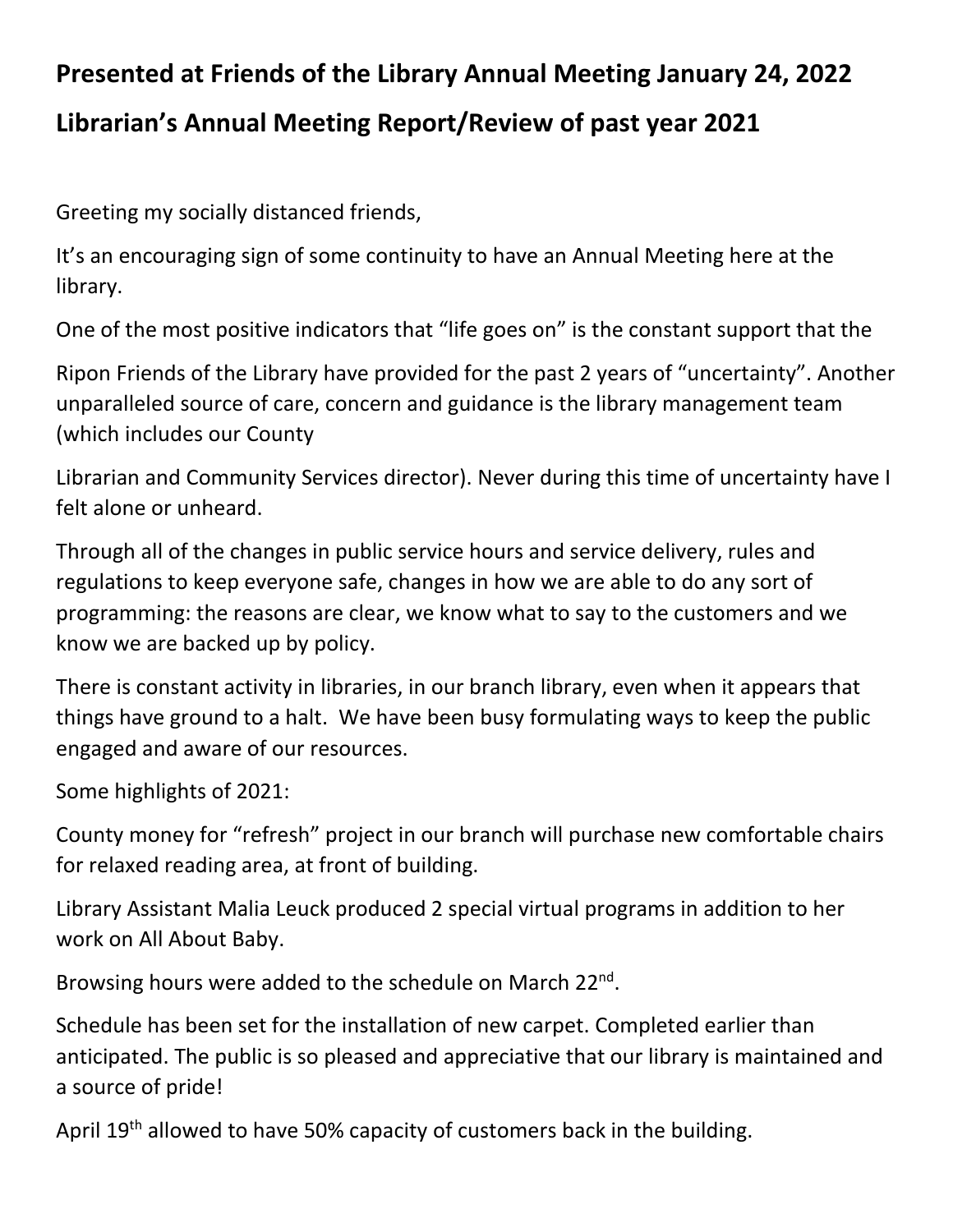# **Presented at Friends of the Library Annual Meeting January 24, 2022**

## **Librarian's Annual Meeting Report/Review of past year 2021**

Greeting my socially distanced friends,

It's an encouraging sign of some continuity to have an Annual Meeting here at the library.

One of the most positive indicators that "life goes on" is the constant support that the

Ripon Friends of the Library have provided for the past 2 years of "uncertainty". Another unparalleled source of care, concern and guidance is the library management team (which includes our County

Librarian and Community Services director). Never during this time of uncertainty have I felt alone or unheard.

Through all of the changes in public service hours and service delivery, rules and regulations to keep everyone safe, changes in how we are able to do any sort of programming: the reasons are clear, we know what to say to the customers and we know we are backed up by policy.

There is constant activity in libraries, in our branch library, even when it appears that things have ground to a halt. We have been busy formulating ways to keep the public engaged and aware of our resources.

Some highlights of 2021:

County money for "refresh" project in our branch will purchase new comfortable chairs for relaxed reading area, at front of building.

Library Assistant Malia Leuck produced 2 special virtual programs in addition to her work on All About Baby.

Browsing hours were added to the schedule on March 22<sup>nd</sup>.

Schedule has been set for the installation of new carpet. Completed earlier than anticipated. The public is so pleased and appreciative that our library is maintained and a source of pride!

April 19<sup>th</sup> allowed to have 50% capacity of customers back in the building.